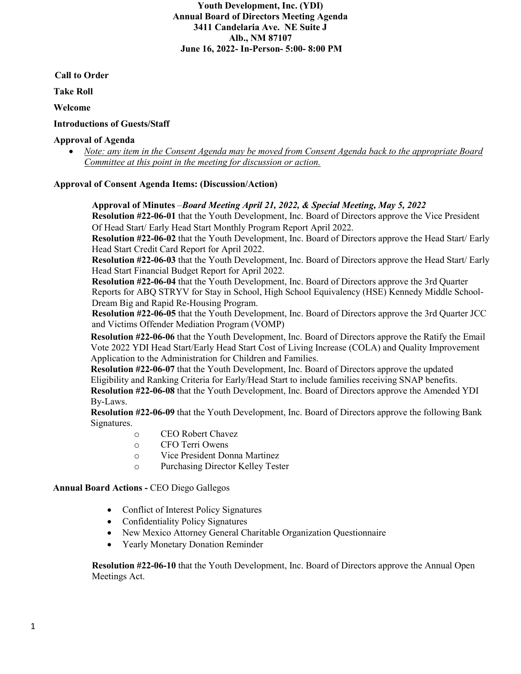**Youth Development, Inc. (YDI) Annual Board of Directors Meeting Agenda 3411 Candelaria Ave. NE Suite J Alb., NM 87107 June 16, 2022- In-Person- 5:00- 8:00 PM** 

 **Call to Order**

**Take Roll** 

**Welcome**

# **Introductions of Guests/Staff**

## **Approval of Agenda**

• *Note: any item in the Consent Agenda may be moved from Consent Agenda back to the appropriate Board Committee at this point in the meeting for discussion or action.* 

## **Approval of Consent Agenda Items: (Discussion/Action)**

### **Approval of Minutes** –*Board Meeting April 21, 2022, & Special Meeting, May 5, 2022*

**Resolution #22-06-01** that the Youth Development, Inc. Board of Directors approve the Vice President Of Head Start/ Early Head Start Monthly Program Report April 2022.

**Resolution #22-06-02** that the Youth Development, Inc. Board of Directors approve the Head Start/ Early Head Start Credit Card Report for April 2022.

**Resolution #22-06-03** that the Youth Development, Inc. Board of Directors approve the Head Start/ Early Head Start Financial Budget Report for April 2022.

**Resolution #22-06-04** that the Youth Development, Inc. Board of Directors approve the 3rd Quarter Reports for ABQ STRYV for Stay in School, High School Equivalency (HSE) Kennedy Middle School-Dream Big and Rapid Re-Housing Program.

**Resolution #22-06-05** that the Youth Development, Inc. Board of Directors approve the 3rd Quarter JCC and Victims Offender Mediation Program (VOMP)

**Resolution #22-06-06** that the Youth Development, Inc. Board of Directors approve the Ratify the Email Vote 2022 YDI Head Start/Early Head Start Cost of Living Increase (COLA) and Quality Improvement Application to the Administration for Children and Families.

**Resolution #22-06-07** that the Youth Development, Inc. Board of Directors approve the updated Eligibility and Ranking Criteria for Early/Head Start to include families receiving SNAP benefits. **Resolution #22-06-08** that the Youth Development, Inc. Board of Directors approve the Amended YDI By-Laws.

**Resolution #22-06-09** that the Youth Development, Inc. Board of Directors approve the following Bank Signatures.

- o CEO Robert Chavez<br>
o CFO Terri Owens
- CFO Terri Owens
- o Vice President Donna Martinez
- o Purchasing Director Kelley Tester

## **Annual Board Actions -** CEO Diego Gallegos

- Conflict of Interest Policy Signatures
- Confidentiality Policy Signatures
- New Mexico Attorney General Charitable Organization Questionnaire
- Yearly Monetary Donation Reminder

**Resolution #22-06-10** that the Youth Development, Inc. Board of Directors approve the Annual Open Meetings Act.